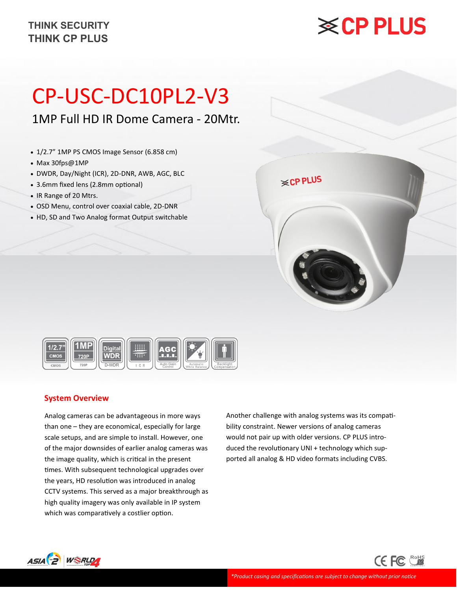# **※CP PLUS**

## CP-USC-DC10PL2-V3

## 1MP Full HD IR Dome Camera - 20Mtr.

- 1/2.7" 1MP PS CMOS Image Sensor (6.858 cm)
- Max 30fps@1MP
- DWDR, Day/Night (ICR), 2D-DNR, AWB, AGC, BLC
- 3.6mm fixed lens (2.8mm optional)
- IR Range of 20 Mtrs.
- OSD Menu, control over coaxial cable, 2D-DNR
- HD, SD and Two Analog format Output switchable

| <b>≋CP PLUS</b> |  |
|-----------------|--|
|                 |  |



#### **System Overview**

Analog cameras can be advantageous in more ways than one – they are economical, especially for large scale setups, and are simple to install. However, one of the major downsides of earlier analog cameras was the image quality, which is critical in the present times. With subsequent technological upgrades over the years, HD resolution was introduced in analog CCTV systems. This served as a major breakthrough as high quality imagery was only available in IP system which was comparatively a costlier option.

Another challenge with analog systems was its compatibility constraint. Newer versions of analog cameras would not pair up with older versions. CP PLUS introduced the revolutionary UNI + technology which supported all analog & HD video formats including CVBS.

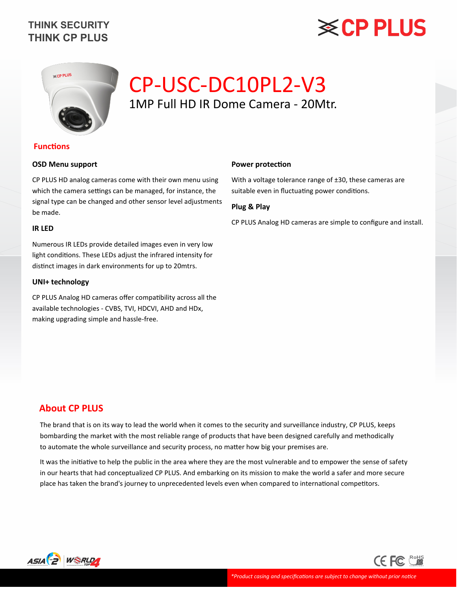# **※CP PLUS**



## CP-USC-DC10PL2-V3 1MP Full HD IR Dome Camera - 20Mtr.

#### **Functions**

#### **OSD Menu support**

CP PLUS HD analog cameras come with their own menu using which the camera settings can be managed, for instance, the signal type can be changed and other sensor level adjustments be made.

#### **IR LED**

Numerous IR LEDs provide detailed images even in very low light conditions. These LEDs adjust the infrared intensity for distinct images in dark environments for up to 20mtrs.

#### **UNI+ technology**

CP PLUS Analog HD cameras offer compatibility across all the available technologies - CVBS, TVI, HDCVI, AHD and HDx, making upgrading simple and hassle-free.

#### **Power protection**

With a voltage tolerance range of ±30, these cameras are suitable even in fluctuating power conditions.

#### **Plug & Play**

CP PLUS Analog HD cameras are simple to configure and install.

#### **About CP PLUS**

The brand that is on its way to lead the world when it comes to the security and surveillance industry, CP PLUS, keeps bombarding the market with the most reliable range of products that have been designed carefully and methodically to automate the whole surveillance and security process, no matter how big your premises are.

It was the initiative to help the public in the area where they are the most vulnerable and to empower the sense of safety in our hearts that had conceptualized CP PLUS. And embarking on its mission to make the world a safer and more secure place has taken the brand's journey to unprecedented levels even when compared to international competitors.



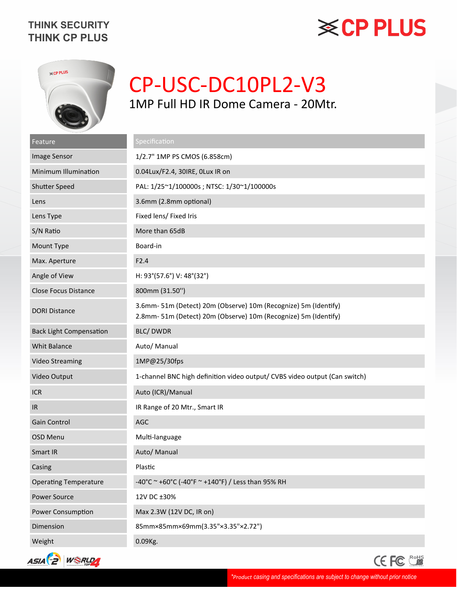## **※CP PLUS**



## CP-USC-DC10PL2-V3 1MP Full HD IR Dome Camera - 20Mtr.

| Feature                        | Specification                                                                                                                    |
|--------------------------------|----------------------------------------------------------------------------------------------------------------------------------|
| Image Sensor                   | 1/2.7" 1MP PS CMOS (6.858cm)                                                                                                     |
| Minimum Illumination           | 0.04Lux/F2.4, 30IRE, OLux IR on                                                                                                  |
| <b>Shutter Speed</b>           | PAL: 1/25~1/100000s; NTSC: 1/30~1/100000s                                                                                        |
| Lens                           | 3.6mm (2.8mm optional)                                                                                                           |
| Lens Type                      | Fixed lens/ Fixed Iris                                                                                                           |
| S/N Ratio                      | More than 65dB                                                                                                                   |
| Mount Type                     | Board-in                                                                                                                         |
| Max. Aperture                  | F2.4                                                                                                                             |
| Angle of View                  | H: 93°(57.6°) V: 48°(32°)                                                                                                        |
| <b>Close Focus Distance</b>    | 800mm (31.50")                                                                                                                   |
| <b>DORI Distance</b>           | 3.6mm-51m (Detect) 20m (Observe) 10m (Recognize) 5m (Identify)<br>2.8mm-51m (Detect) 20m (Observe) 10m (Recognize) 5m (Identify) |
| <b>Back Light Compensation</b> | <b>BLC/DWDR</b>                                                                                                                  |
| <b>Whit Balance</b>            | Auto/ Manual                                                                                                                     |
| <b>Video Streaming</b>         | 1MP@25/30fps                                                                                                                     |
| Video Output                   | 1-channel BNC high definition video output/ CVBS video output (Can switch)                                                       |
| <b>ICR</b>                     | Auto (ICR)/Manual                                                                                                                |
| IR                             | IR Range of 20 Mtr., Smart IR                                                                                                    |
| Gain Control                   | AGC                                                                                                                              |
| OSD Menu                       | Multi-language                                                                                                                   |
| Smart IR                       | Auto/ Manual                                                                                                                     |
| Casing                         | Plastic                                                                                                                          |
| <b>Operating Temperature</b>   | -40°C ~ +60°C (-40°F ~ +140°F) / Less than 95% RH                                                                                |
| <b>Power Source</b>            | 12V DC ±30%                                                                                                                      |
| Power Consumption              | Max 2.3W (12V DC, IR on)                                                                                                         |
| Dimension                      | 85mm×85mm×69mm(3.35"×3.35"×2.72")                                                                                                |
| Weight                         | 0.09Kg.                                                                                                                          |



CE FC COHS